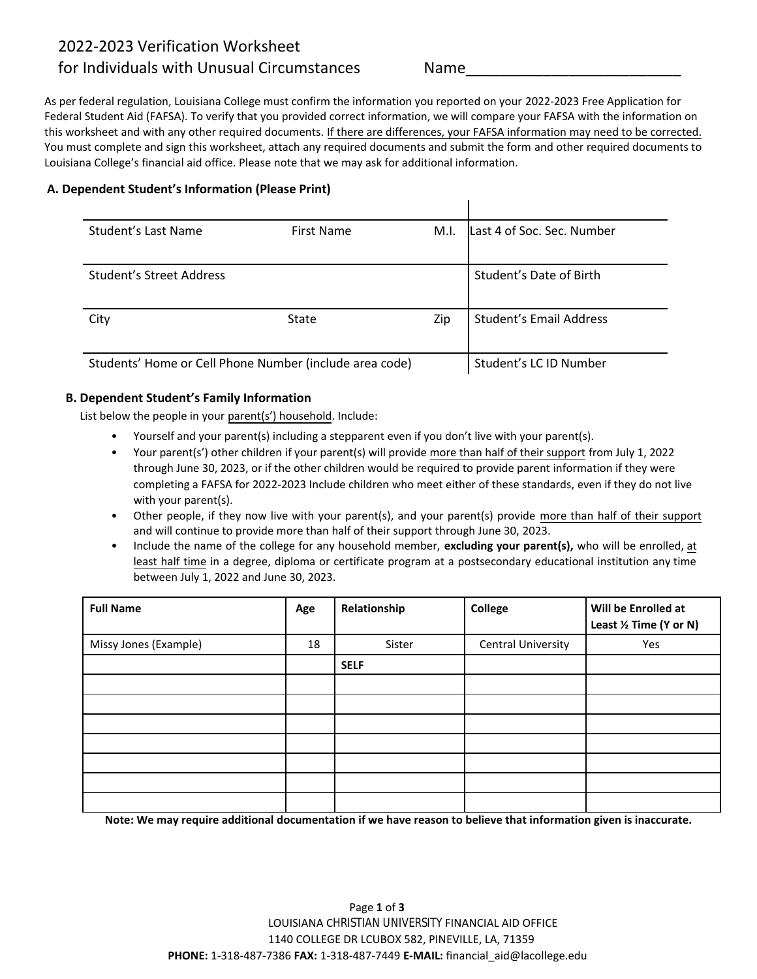## 2022-2023 Verification Worksheet

## for Individuals with Unusual Circumstances

Name\_\_\_\_\_\_\_\_\_\_\_\_\_\_\_\_\_\_\_\_\_\_\_\_\_

As per federal regulation, Louisiana College must confirm the information you reported on your 2022-2023 Free Application for Federal Student Aid (FAFSA). To verify that you provided correct information, we will compare your FAFSA with the information on this worksheet and with any other required documents. If there are differences, your FAFSA information may need to be corrected. You must complete and sign this worksheet, attach any required documents and submit the form and other required documents to Louisiana College's financial aid office. Please note that we may ask for additional information.

## **A. Dependent Student's Information (Please Print)**

| Student's Last Name                                     | First Name   | M.I. | Last 4 of Soc. Sec. Number     |
|---------------------------------------------------------|--------------|------|--------------------------------|
|                                                         |              |      |                                |
| Student's Street Address                                |              |      | Student's Date of Birth        |
|                                                         |              |      |                                |
| City                                                    | <b>State</b> | Zip  | <b>Student's Email Address</b> |
|                                                         |              |      |                                |
| Students' Home or Cell Phone Number (include area code) |              |      | Student's LC ID Number         |

## **B. Dependent Student's Family Information**

List below the people in your parent(s') household. Include:

- Yourself and your parent(s) including a stepparent even if you don't live with your parent(s).
- Your parent(s') other children if your parent(s) will provide more than half of their support from July 1, 2022 through June 30, 2023, or if the other children would be required to provide parent information if they were completing a FAFSA for 2022-2023 Include children who meet either of these standards, even if they do not live with your parent(s).
- Other people, if they now live with your parent(s), and your parent(s) provide more than half of their support and will continue to provide more than half of their support through June 30, 2023.
- Include the name of the college for any household member, **excluding your parent(s),** who will be enrolled, at least half time in a degree, diploma or certificate program at a postsecondary educational institution any time between July 1, 2022 and June 30, 2023.

| <b>Full Name</b>      | Age | Relationship | College            | Will be Enrolled at<br>Least 1/2 Time (Y or N) |
|-----------------------|-----|--------------|--------------------|------------------------------------------------|
| Missy Jones (Example) | 18  | Sister       | Central University | Yes                                            |
|                       |     | <b>SELF</b>  |                    |                                                |
|                       |     |              |                    |                                                |
|                       |     |              |                    |                                                |
|                       |     |              |                    |                                                |
|                       |     |              |                    |                                                |
|                       |     |              |                    |                                                |
|                       |     |              |                    |                                                |
|                       |     |              |                    |                                                |

**Note: We may require additional documentation if we have reason to believe that information given is inaccurate.**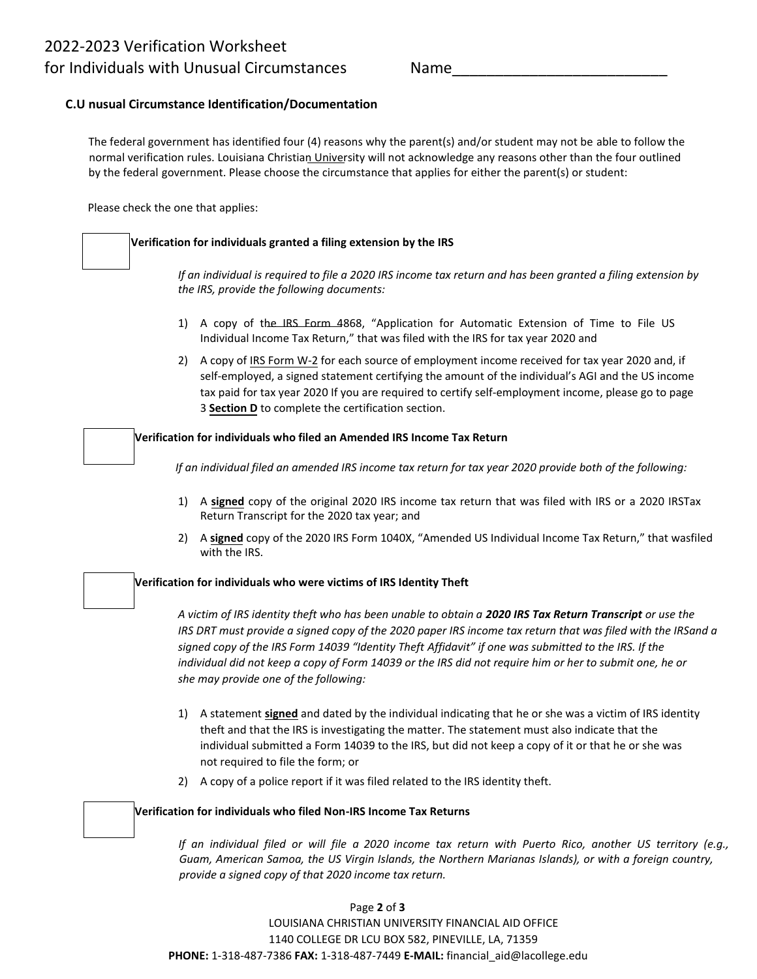Name\_\_\_\_\_\_\_\_\_\_\_\_\_\_\_\_\_\_\_\_\_\_\_\_\_

## **C.U nusual Circumstance Identification/Documentation**

The federal government has identified four (4) reasons why the parent(s) and/or student may not be able to follow the normal verification rules. Louisiana Christian University will not acknowledge any reasons other than the four outlined by the federal government. Please choose the circumstance that applies for either the parent(s) or student:

Please check the one that applies:

#### **Verification for individuals granted a filing extension by the IRS**

If an individual is required to file a 2020 IRS income tax return and has been granted a filing extension by *the IRS, provide the following documents:*

- 1) A copy of the IRS Form 4868, "Application for Automatic Extension of Time to File US Individual Income Tax Return," that was filed with the IRS for tax year 2020 and
- 2) A copy of IRS Form W-2 for each source of employment income received for tax year 2020 and, if self-employed, a signed statement certifying the amount of the individual's AGI and the US income tax paid for tax year 2020 If you are required to certify self-employment income, please go to page 3 **Section D** to complete the certification section.

#### **Verification for individuals who filed an Amended IRS Income Tax Return**

*If an individual filed an amended IRS income tax return for tax year 2020 provide both of the following:*

- 1) A **signed** copy of the original 2020 IRS income tax return that was filed with IRS or a 2020 IRSTax Return Transcript for the 2020 tax year; and
- 2) A **signed** copy of the 2020 IRS Form 1040X, "Amended US Individual Income Tax Return," that wasfiled with the IRS.

#### **Verification for individuals who were victims of IRS Identity Theft**

*A victim of IRS identity theft who has been unable to obtain a 2020 IRS Tax Return Transcript or use the* IRS DRT must provide a signed copy of the 2020 paper IRS income tax return that was filed with the IRSand a *signed copy of the IRS Form 14039 "Identity Theft Affidavit" if one was submitted to the IRS. If the* individual did not keep a copy of Form 14039 or the IRS did not require him or her to submit one, he or *she may provide one of the following:*

- 1) A statement **signed** and dated by the individual indicating that he or she was a victim of IRS identity theft and that the IRS is investigating the matter. The statement must also indicate that the individual submitted a Form 14039 to the IRS, but did not keep a copy of it or that he or she was not required to file the form; or
- 2) A copy of a police report if it was filed related to the IRS identity theft.

#### **Verification for individuals who filed Non-IRS Income Tax Returns**

If an individual filed or will file a 2020 income tax return with Puerto Rico, another US territory (e.g., *Guam, American Samoa, the US Virgin Islands, the Northern Marianas Islands), or with a foreign country, provide a signed copy of that 2020 income tax return.*

#### Page **2** of **3**

LOUISIANA CHRISTIAN UNIVERSITY FINANCIAL AID OFFICE 1140 COLLEGE DR LCU BOX 582, PINEVILLE, LA, 71359 **PHONE:** 1-318-487-7386 **FAX:** 1-318-487-7449 **E-MAIL:** financial\_aid@lacollege.edu